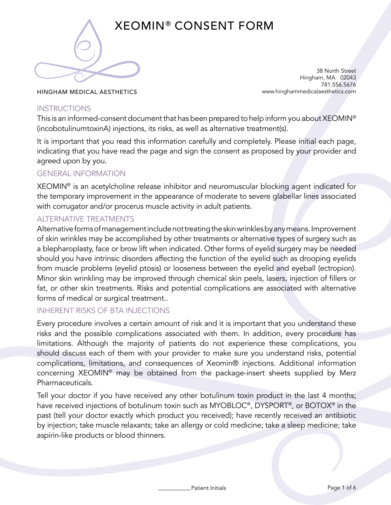

# XEOMIN® CONSENT FORM

38 North Street Hingham, MA 02043 781.556.5676 www.hinghammedicalaesthetics.com

HINGHAM MEDICAL AESTHETICS

## **INSTRUCTIONS**

This is an informed-consent document that has been prepared to help inform you about XEOMIN® (incobotulinumtoxinA) injections, its risks, as well as alternative treatment(s).

It is important that you read this information carefully and completely. Please initial each page, indicating that you have read the page and sign the consent as proposed by your provider and agreed upon by you.

# GENERAL INFORMATION

XEOMIN® is an acetylcholine release inhibitor and neuromuscular blocking agent indicated for the temporary improvement in the appearance of moderate to severe glabellar lines associated with corrugator and/or procerus muscle activity in adult patients.

# ALTERNATIVE TREATMENTS

Alternative forms of management include not treating the skin wrinkles by any means. Improvement of skin wrinkles may be accomplished by other treatments or alternative types of surgery such as a blepharoplasty, face or brow lift when indicated. Other forms of eyelid surgery may be needed should you have intrinsic disorders affecting the function of the eyelid such as drooping eyelids from muscle problems (eyelid ptosis) or looseness between the eyelid and eyeball (ectropion). Minor skin wrinkling may be improved through chemical skin peels, lasers, injection of fillers or fat, or other skin treatments. Risks and potential complications are associated with alternative forms of medical or surgical treatment..

## INHERENT RISKS OF BTA INJECTIONS

Every procedure involves a certain amount of risk and it is important that you understand these risks and the possible complications associated with them. In addition, every procedure has limitations. Although the majority of patients do not experience these complications, you should discuss each of them with your provider to make sure you understand risks, potential complications, limitations, and consequences of Xeomin® injections. Additional information concerning XEOMIN® may be obtained from the package-insert sheets supplied by Merz Pharmaceuticals.

Tell your doctor if you have received any other botulinum toxin product in the last 4 months; have received injections of botulinum toxin such as MYOBLOC®, DYSPORT®, or BOTOX® in the past (tell your doctor exactly which product you received); have recently received an antibiotic by injection; take muscle relaxants; take an allergy or cold medicine; take a sleep medicine; take aspirin-like products or blood thinners.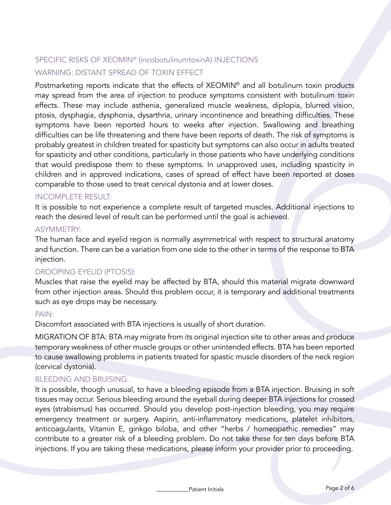# SPECIFIC RISKS OF XEOMIN® (incobotulinumtoxinA) INJECTIONS WARNING: DISTANT SPREAD OF TOXIN EFFECT

Postmarketing reports indicate that the effects of XEOMIN® and all botulinum toxin products may spread from the area of injection to produce symptoms consistent with botulinum toxin effects. These may include asthenia, generalized muscle weakness, diplopia, blurred vision, ptosis, dysphagia, dysphonia, dysarthria, urinary incontinence and breathing difficulties. These symptoms have been reported hours to weeks after injection. Swallowing and breathing difficulties can be life threatening and there have been reports of death. The risk of symptoms is probably greatest in children treated for spasticity but symptoms can also occur in adults treated for spasticity and other conditions, particularly in those patients who have underlying conditions that would predispose them to these symptoms. In unapproved uses, including spasticity in children and in approved indications, cases of spread of effect have been reported at doses comparable to those used to treat cervical dystonia and at lower doses.

#### INCOMPLETE RESULT:

It is possible to not experience a complete result of targeted muscles. Additional injections to reach the desired level of result can be performed until the goal is achieved.

#### ASYMMETRY:

The human face and eyelid region is normally asymmetrical with respect to structural anatomy and function. There can be a variation from one side to the other in terms of the response to BTA injection.

## DROOPING EYELID (PTOSIS):

Muscles that raise the eyelid may be affected by BTA, should this material migrate downward from other injection areas. Should this problem occur, it is temporary and additional treatments such as eye drops may be necessary.

#### PAIN:

Discomfort associated with BTA injections is usually of short duration.

MIGRATION OF BTA: BTA may migrate from its original injection site to other areas and produce temporary weakness of other muscle groups or other unintended effects. BTA has been reported to cause swallowing problems in patients treated for spastic muscle disorders of the neck region (cervical dystonia).

#### BLEEDING AND BRUISING:

It is possible, though unusual, to have a bleeding episode from a BTA injection. Bruising in soft tissues may occur. Serious bleeding around the eyeball during deeper BTA injections for crossed eyes (strabismus) has occurred. Should you develop post-injection bleeding, you may require emergency treatment or surgery. Aspirin, anti-inflammatory medications, platelet inhibitors, anticoagulants, Vitamin E, ginkgo biloba, and other "herbs / homeopathic remedies" may contribute to a greater risk of a bleeding problem. Do not take these for ten days before BTA injections. If you are taking these medications, please inform your provider prior to proceeding.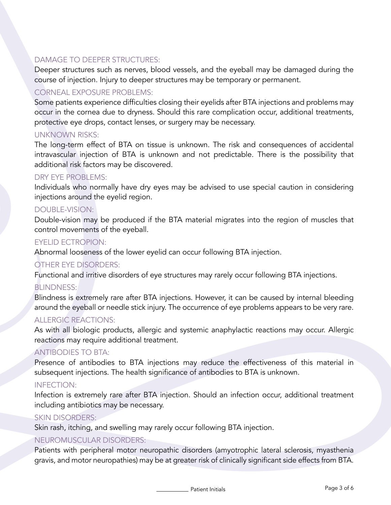# DAMAGE TO DEEPER STRUCTURES:

Deeper structures such as nerves, blood vessels, and the eyeball may be damaged during the course of injection. Injury to deeper structures may be temporary or permanent.

# CORNEAL EXPOSURE PROBLEMS:

Some patients experience difficulties closing their eyelids after BTA injections and problems may occur in the cornea due to dryness. Should this rare complication occur, additional treatments, protective eye drops, contact lenses, or surgery may be necessary.

# UNKNOWN RISKS:

The long-term effect of BTA on tissue is unknown. The risk and consequences of accidental intravascular injection of BTA is unknown and not predictable. There is the possibility that additional risk factors may be discovered.

## DRY EYE PROBLEMS:

Individuals who normally have dry eyes may be advised to use special caution in considering injections around the eyelid region.

# DOUBLE-VISION:

Double-vision may be produced if the BTA material migrates into the region of muscles that control movements of the eyeball.

## EYELID ECTROPION:

Abnormal looseness of the lower eyelid can occur following BTA injection.

# OTHER EYE DISORDERS:

Functional and irritive disorders of eye structures may rarely occur following BTA injections.

## **BLINDNESS:**

Blindness is extremely rare after BTA injections. However, it can be caused by internal bleeding around the eyeball or needle stick injury. The occurrence of eye problems appears to be very rare.

## ALLERGIC REACTIONS:

As with all biologic products, allergic and systemic anaphylactic reactions may occur. Allergic reactions may require additional treatment.

## ANTIBODIES TO BTA:

Presence of antibodies to BTA injections may reduce the effectiveness of this material in subsequent injections. The health significance of antibodies to BTA is unknown.

## INFECTION:

Infection is extremely rare after BTA injection. Should an infection occur, additional treatment including antibiotics may be necessary.

## SKIN DISORDERS:

Skin rash, itching, and swelling may rarely occur following BTA injection.

## NEUROMUSCULAR DISORDERS:

Patients with peripheral motor neuropathic disorders (amyotrophic lateral sclerosis, myasthenia gravis, and motor neuropathies) may be at greater risk of clinically significant side effects from BTA.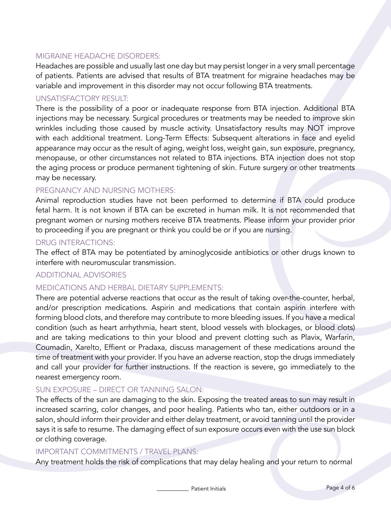## MIGRAINE HEADACHE DISORDERS:

Headaches are possible and usually last one day but may persist longer in a very small percentage of patients. Patients are advised that results of BTA treatment for migraine headaches may be variable and improvement in this disorder may not occur following BTA treatments.

#### UNSATISFACTORY RESULT:

There is the possibility of a poor or inadequate response from BTA injection. Additional BTA injections may be necessary. Surgical procedures or treatments may be needed to improve skin wrinkles including those caused by muscle activity. Unsatisfactory results may NOT improve with each additional treatment. Long-Term Effects: Subsequent alterations in face and eyelid appearance may occur as the result of aging, weight loss, weight gain, sun exposure, pregnancy, menopause, or other circumstances not related to BTA injections. BTA injection does not stop the aging process or produce permanent tightening of skin. Future surgery or other treatments may be necessary.

## PREGNANCY AND NURSING MOTHERS:

Animal reproduction studies have not been performed to determine if BTA could produce fetal harm. It is not known if BTA can be excreted in human milk. It is not recommended that pregnant women or nursing mothers receive BTA treatments. Please inform your provider prior to proceeding if you are pregnant or think you could be or if you are nursing.

#### DRUG INTERACTIONS:

The effect of BTA may be potentiated by aminoglycoside antibiotics or other drugs known to interfere with neuromuscular transmission.

## ADDITIONAL ADVISORIES

## MEDICATIONS AND HERBAL DIETARY SUPPLEMENTS:

There are potential adverse reactions that occur as the result of taking over-the-counter, herbal, and/or prescription medications. Aspirin and medications that contain aspirin interfere with forming blood clots, and therefore may contribute to more bleeding issues. If you have a medical condition (such as heart arrhythmia, heart stent, blood vessels with blockages, or blood clots) and are taking medications to thin your blood and prevent clotting such as Plavix, Warfarin, Coumadin, Xarelto, Effient or Pradaxa, discuss management of these medications around the time of treatment with your provider. If you have an adverse reaction, stop the drugs immediately and call your provider for further instructions. If the reaction is severe, go immediately to the nearest emergency room.

## SUN EXPOSURE – DIRECT OR TANNING SALON:

The effects of the sun are damaging to the skin. Exposing the treated areas to sun may result in increased scarring, color changes, and poor healing. Patients who tan, either outdoors or in a salon, should inform their provider and either delay treatment, or avoid tanning until the provider says it is safe to resume. The damaging effect of sun exposure occurs even with the use sun block or clothing coverage.

#### IMPORTANT COMMITMENTS / TRAVEL PLANS:

Any treatment holds the risk of complications that may delay healing and your return to normal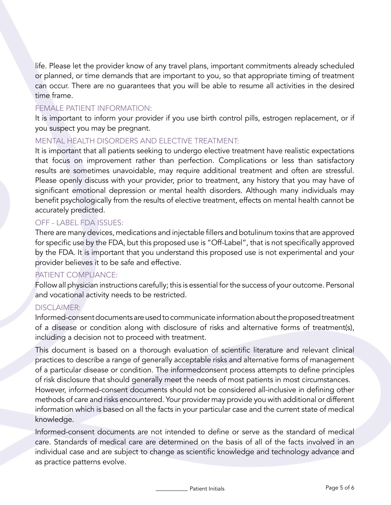life. Please let the provider know of any travel plans, important commitments already scheduled or planned, or time demands that are important to you, so that appropriate timing of treatment can occur. There are no guarantees that you will be able to resume all activities in the desired time frame.

#### FEMALE PATIENT INFORMATION:

It is important to inform your provider if you use birth control pills, estrogen replacement, or if you suspect you may be pregnant.

## MENTAL HEALTH DISORDERS AND ELECTIVE TREATMENT:

It is important that all patients seeking to undergo elective treatment have realistic expectations that focus on improvement rather than perfection. Complications or less than satisfactory results are sometimes unavoidable, may require additional treatment and often are stressful. Please openly discuss with your provider, prior to treatment, any history that you may have of significant emotional depression or mental health disorders. Although many individuals may benefit psychologically from the results of elective treatment, effects on mental health cannot be accurately predicted.

# OFF - LABEL FDA ISSUES:

There are many devices, medications and injectable fillers and botulinum toxins that are approved for specific use by the FDA, but this proposed use is "Off-Label", that is not specifically approved by the FDA. It is important that you understand this proposed use is not experimental and your provider believes it to be safe and effective.

# PATIENT COMPLIANCE:

Follow all physician instructions carefully; this is essential for the success of your outcome. Personal and vocational activity needs to be restricted.

## DISCI AIMER:

Informed-consent documents are used to communicate information about the proposed treatment of a disease or condition along with disclosure of risks and alternative forms of treatment(s), including a decision not to proceed with treatment.

This document is based on a thorough evaluation of scientific literature and relevant clinical practices to describe a range of generally acceptable risks and alternative forms of management of a particular disease or condition. The informedconsent process attempts to define principles of risk disclosure that should generally meet the needs of most patients in most circumstances. However, informed-consent documents should not be considered all-inclusive in defining other methods of care and risks encountered. Your provider may provide you with additional or different information which is based on all the facts in your particular case and the current state of medical knowledge.

Informed-consent documents are not intended to define or serve as the standard of medical care. Standards of medical care are determined on the basis of all of the facts involved in an individual case and are subject to change as scientific knowledge and technology advance and as practice patterns evolve.